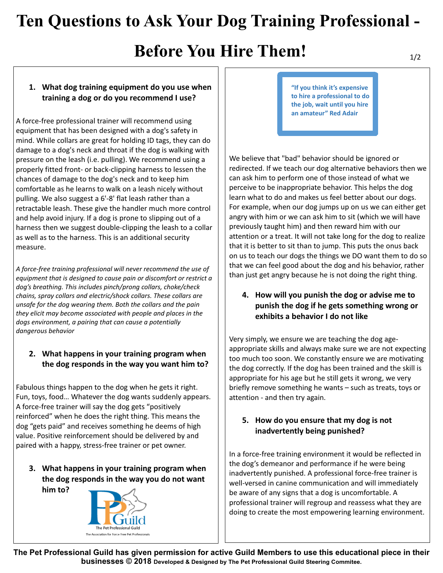# **Ten Questions to Ask Your Dog Training Professional -**

# **Before You Hire Them!**

### **1. What dog training equipment do you use when training a dog or do you recommend I use?**

A force-free professional trainer will recommend using equipment that has been designed with a dog's safety in mind. While collars are great for holding ID tags, they can do damage to a dog's neck and throat if the dog is walking with pressure on the leash (i.e. pulling). We recommend using a properly fitted front- or back-clipping harness to lessen the chances of damage to the dog's neck and to keep him comfortable as he learns to walk on a leash nicely without pulling. We also suggest a 6'-8' flat leash rather than a retractable leash. These give the handler much more control and help avoid injury. If a dog is prone to slipping out of a harness then we suggest double-clipping the leash to a collar as well as to the harness. This is an additional security measure.

*A force-free training professional will never recommend the use of equipment that is designed to cause pain or discomfort or restrict a dog's breathing. This includes pinch/prong collars, choke/check chains, spray collars and electric/shock collars. These collars are unsafe for the dog wearing them. Both the collars and the pain they elicit may become associated with people and places in the dogs environment, a pairing that can cause a potentially dangerous behavior* 

### **2. What happens in your training program when the dog responds in the way you want him to?**

Fabulous things happen to the dog when he gets it right. Fun, toys, food… Whatever the dog wants suddenly appears. A force-free trainer will say the dog gets "positively reinforced" when he does the right thing. This means the dog "gets paid" and receives something he deems of high value. Positive reinforcement should be delivered by and paired with a happy, stress-free trainer or pet owner.

**3. What happens in your training program when the dog responds in the way you do not want him to?** 



**"If you think it's expensive to hire a professional to do the job, wait until you hire an amateur" Red Adair**

We believe that "bad" behavior should be ignored or redirected. If we teach our dog alternative behaviors then we can ask him to perform one of those instead of what we perceive to be inappropriate behavior. This helps the dog learn what to do and makes us feel better about our dogs. For example, when our dog jumps up on us we can either get angry with him or we can ask him to sit (which we will have previously taught him) and then reward him with our attention or a treat. It will not take long for the dog to realize that it is better to sit than to jump. This puts the onus back on us to teach our dogs the things we DO want them to do so that we can feel good about the dog and his behavior, rather than just get angry because he is not doing the right thing.

**4. How will you punish the dog or advise me to punish the dog if he gets something wrong or exhibits a behavior I do not like** 

Very simply, we ensure we are teaching the dog ageappropriate skills and always make sure we are not expecting too much too soon. We constantly ensure we are motivating the dog correctly. If the dog has been trained and the skill is appropriate for his age but he still gets it wrong, we very briefly remove something he wants – such as treats, toys or attention - and then try again.

### **5. How do you ensure that my dog is not inadvertently being punished?**

In a force-free training environment it would be reflected in the dog's demeanor and performance if he were being inadvertently punished. A professional force-free trainer is well-versed in canine communication and will immediately be aware of any signs that a dog is uncomfortable. A professional trainer will regroup and reassess what they are doing to create the most empowering learning environment.

**The Pet Professional Guild has given permission for active Guild Members to use this educational piece in their businesses © 2018 Developed & Designed by The Pet Professional Guild Steering Commitee.**